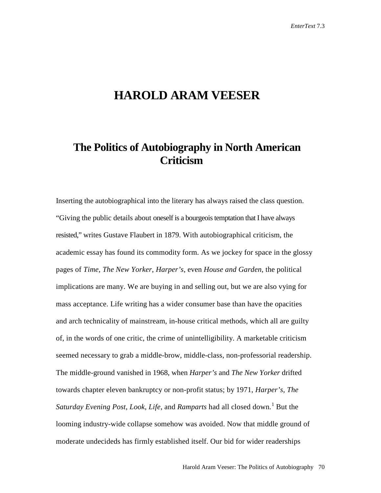## **HAROLD ARAM VEESER**

## **The Politics of Autobiography in North American Criticism**

Inserting the autobiographical into the literary has always raised the class question. "Giving the public details about oneself is a bourgeois temptation that I have always resisted," writes Gustave Flaubert in 1879. With autobiographical criticism, the academic essay has found its commodity form. As we jockey for space in the glossy pages of *Time*, *The New Yorker*, *Harper's*, even *House and Garden*, the political implications are many. We are buying in and selling out, but we are also vying for mass acceptance. Life writing has a wider consumer base than have the opacities and arch technicality of mainstream, in-house critical methods, which all are guilty of, in the words of one critic, the crime of unintelligibility. A marketable criticism seemed necessary to grab a middle-brow, middle-class, non-professorial readership. The middle-ground vanished in 1968, when *Harper's* and *The New Yorker* drifted towards chapter eleven bankruptcy or non-profit status; by 1971, *Harper's*, *The Saturday Evening Post, Look, Life, and <i>Ramparts* had all closed down.<sup>[1](#page-6-0)</sup> But the looming industry-wide collapse somehow was avoided. Now that middle ground of moderate undecideds has firmly established itself. Our bid for wider readerships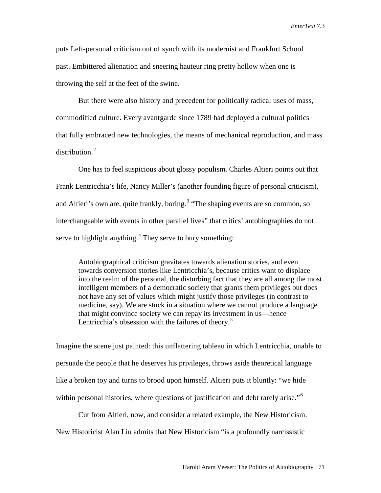*EnterText* 7.3

puts Left-personal criticism out of synch with its modernist and Frankfurt School past. Embittered alienation and sneering hauteur ring pretty hollow when one is throwing the self at the feet of the swine.

But there were also history and precedent for politically radical uses of mass, commodified culture. Every avantgarde since 1789 had deployed a cultural politics that fully embraced new technologies, the means of mechanical reproduction, and mass distribution.<sup>[2](#page-7-0)</sup>

One has to feel suspicious about glossy populism. Charles Altieri points out that Frank Lentricchia's life, Nancy Miller's (another founding figure of personal criticism), and Altieri's own are, quite frankly, boring.<sup>[3](#page-7-1)</sup> "The shaping events are so common, so interchangeable with events in other parallel lives" that critics' autobiographies do not serve to highlight anything.<sup>[4](#page-7-2)</sup> They serve to bury something:

Autobiographical criticism gravitates towards alienation stories, and even towards conversion stories like Lentricchia's, because critics want to displace into the realm of the personal, the disturbing fact that they are all among the most intelligent members of a democratic society that grants them privileges but does not have any set of values which might justify those privileges (in contrast to medicine, say). We are stuck in a situation where we cannot produce a language that might convince society we can repay its investment in us—hence Lentricchia's obsession with the failures of theory.<sup>[5](#page-7-3)</sup>

Imagine the scene just painted: this unflattering tableau in which Lentricchia, unable to persuade the people that he deserves his privileges, throws aside theoretical language like a broken toy and turns to brood upon himself. Altieri puts it bluntly: "we hide within personal histories, where questions of justification and debt rarely arise."<sup>[6](#page-7-4)</sup>

Cut from Altieri, now, and consider a related example, the New Historicism. New Historicist Alan Liu admits that New Historicism "is a profoundly narcissistic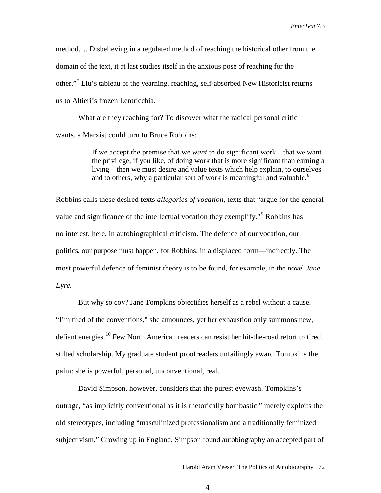method…. Disbelieving in a regulated method of reaching the historical other from the domain of the text, it at last studies itself in the anxious pose of reaching for the other."[7](#page-7-5) Liu's tableau of the yearning, reaching, self-absorbed New Historicist returns us to Altieri's frozen Lentricchia.

What are they reaching for? To discover what the radical personal critic wants, a Marxist could turn to Bruce Robbins:

> If we accept the premise that we *want* to do significant work—that we want the privilege, if you like, of doing work that is more significant than earning a living—then we must desire and value texts which help explain, to ourselves and to others, why a particular sort of work is meaningful and valuable.<sup>[8](#page-7-6)</sup>

Robbins calls these desired texts *allegories of vocation,* texts that "argue for the general value and significance of the intellectual vocation they exemplify."<sup>[9](#page-7-7)</sup> Robbins has no interest, here, in autobiographical criticism. The defence of our vocation, our politics, our purpose must happen, for Robbins, in a displaced form—indirectly. The most powerful defence of feminist theory is to be found, for example, in the novel *Jane Eyre.*

But why so coy? Jane Tompkins objectifies herself as a rebel without a cause. "I'm tired of the conventions," she announces, yet her exhaustion only summons new, defiant energies.<sup>[10](#page-7-8)</sup> Few North American readers can resist her hit-the-road retort to tired, stilted scholarship. My graduate student proofreaders unfailingly award Tompkins the palm: she is powerful, personal, unconventional, real.

David Simpson, however, considers that the purest eyewash. Tompkins's outrage, "as implicitly conventional as it is rhetorically bombastic," merely exploits the old stereotypes, including "masculinized professionalism and a traditionally feminized subjectivism." Growing up in England, Simpson found autobiography an accepted part of

4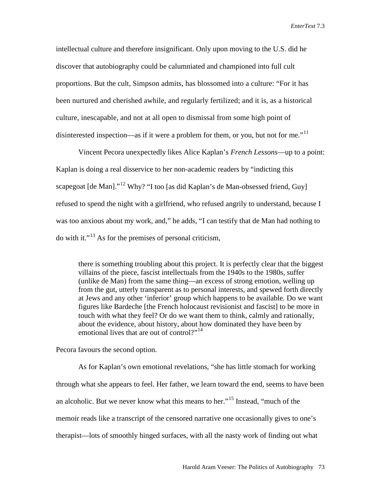intellectual culture and therefore insignificant. Only upon moving to the U.S. did he discover that autobiography could be calumniated and championed into full cult proportions. But the cult, Simpson admits, has blossomed into a culture: "For it has been nurtured and cherished awhile, and regularly fertilized; and it is, as a historical culture, inescapable, and not at all open to dismissal from some high point of disinterested inspection—as if it were a problem for them, or you, but not for me."<sup>[11](#page-7-9)</sup>

Vincent Pecora unexpectedly likes Alice Kaplan's *French Lessons*—up to a point: Kaplan is doing a real disservice to her non-academic readers by "indicting this scapegoat  $\lceil$  de Man $\rceil$ ."<sup>[12](#page-7-10)</sup> Why? "I too  $\lceil$  as did Kaplan's de Man-obsessed friend, Guy refused to spend the night with a girlfriend, who refused angrily to understand, because I was too anxious about my work, and," he adds, "I can testify that de Man had nothing to do with it."<sup>[13](#page-7-11)</sup> As for the premises of personal criticism,

there is something troubling about this project. It is perfectly clear that the biggest villains of the piece, fascist intellectuals from the 1940s to the 1980s, suffer (unlike de Man) from the same thing—an excess of strong emotion, welling up from the gut, utterly transparent as to personal interests, and spewed forth directly at Jews and any other 'inferior' group which happens to be available. Do we want figures like Bardeche [the French holocaust revisionist and fascist] to be more in touch with what they feel? Or do we want them to think, calmly and rationally, about the evidence, about history, about how dominated they have been by emotional lives that are out of control?"<sup>[14](#page-7-12)</sup>

Pecora favours the second option.

As for Kaplan's own emotional revelations, "she has little stomach for working through what she appears to feel. Her father, we learn toward the end, seems to have been an alcoholic. But we never know what this means to her."[15](#page-7-13) Instead, "much of the memoir reads like a transcript of the censored narrative one occasionally gives to one's therapist—lots of smoothly hinged surfaces, with all the nasty work of finding out what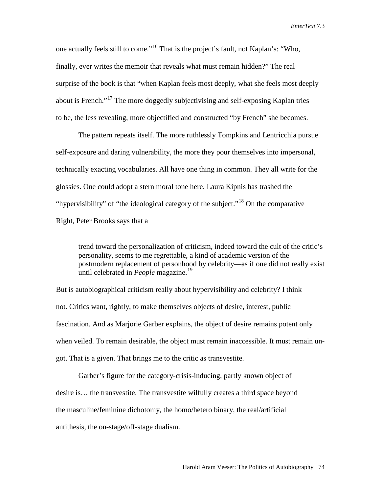one actually feels still to come."[16](#page-7-14) That is the project's fault, not Kaplan's: "Who, finally, ever writes the memoir that reveals what must remain hidden?" The real surprise of the book is that "when Kaplan feels most deeply, what she feels most deeply about is French."[17](#page-7-15) The more doggedly subjectivising and self-exposing Kaplan tries to be, the less revealing, more objectified and constructed "by French" she becomes.

The pattern repeats itself. The more ruthlessly Tompkins and Lentricchia pursue self-exposure and daring vulnerability, the more they pour themselves into impersonal, technically exacting vocabularies. All have one thing in common. They all write for the glossies. One could adopt a stern moral tone here. Laura Kipnis has trashed the "hypervisibility" of "the ideological category of the subject."<sup>[18](#page-7-16)</sup> On the comparative Right, Peter Brooks says that a

trend toward the personalization of criticism, indeed toward the cult of the critic's personality, seems to me regrettable, a kind of academic version of the postmodern replacement of personhood by celebrity—as if one did not really exist until celebrated in *People* magazine.<sup>[19](#page-7-17)</sup>

But is autobiographical criticism really about hypervisibility and celebrity? I think not. Critics want, rightly, to make themselves objects of desire, interest, public fascination. And as Marjorie Garber explains, the object of desire remains potent only when veiled. To remain desirable, the object must remain inaccessible. It must remain ungot. That is a given. That brings me to the critic as transvestite.

Garber's figure for the category-crisis-inducing, partly known object of desire is… the transvestite. The transvestite wilfully creates a third space beyond the masculine/feminine dichotomy, the homo/hetero binary, the real/artificial antithesis, the on-stage/off-stage dualism.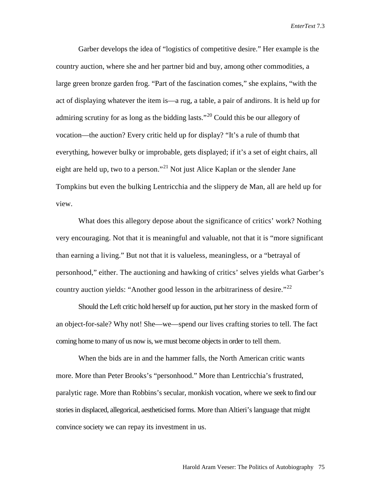*EnterText* 7.3

Garber develops the idea of "logistics of competitive desire." Her example is the country auction, where she and her partner bid and buy, among other commodities, a large green bronze garden frog. "Part of the fascination comes," she explains, "with the act of displaying whatever the item is—a rug, a table, a pair of andirons. It is held up for admiring scrutiny for as long as the bidding lasts."<sup>[20](#page-7-18)</sup> Could this be our allegory of vocation—the auction? Every critic held up for display? "It's a rule of thumb that everything, however bulky or improbable, gets displayed; if it's a set of eight chairs, all eight are held up, two to a person."<sup>[21](#page-7-19)</sup> Not just Alice Kaplan or the slender Jane Tompkins but even the bulking Lentricchia and the slippery de Man, all are held up for view.

What does this allegory depose about the significance of critics' work? Nothing very encouraging. Not that it is meaningful and valuable, not that it is "more significant than earning a living." But not that it is valueless, meaningless, or a "betrayal of personhood," either. The auctioning and hawking of critics' selves yields what Garber's country auction yields: "Another good lesson in the arbitrariness of desire."<sup>[22](#page-7-20)</sup>

Should the Left critic hold herself up for auction, put her story in the masked form of an object-for-sale? Why not! She—we—spend our lives crafting stories to tell. The fact coming home to many of us now is, we must become objects in order to tell them.

When the bids are in and the hammer falls, the North American critic wants more. More than Peter Brooks's "personhood." More than Lentricchia's frustrated, paralytic rage. More than Robbins's secular, monkish vocation, where we seek to find our stories in displaced, allegorical, aestheticised forms. More than Altieri's language that might convince society we can repay its investment in us.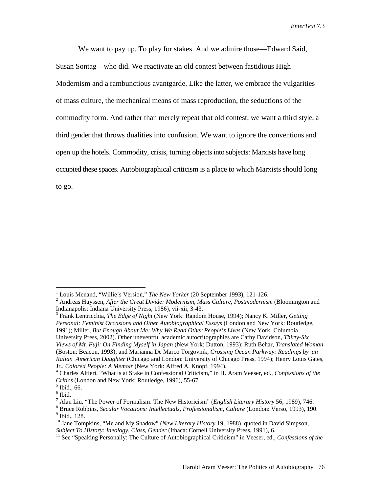We want to pay up. To play for stakes. And we admire those—Edward Said, Susan Sontag—who did. We reactivate an old contest between fastidious High Modernism and a rambunctious avantgarde. Like the latter, we embrace the vulgarities of mass culture, the mechanical means of mass reproduction, the seductions of the commodity form. And rather than merely repeat that old contest, we want a third style, a third gender that throws dualities into confusion. We want to ignore the conventions and open up the hotels. Commodity, crisis, turning objects into subjects: Marxists have long occupied these spaces. Autobiographical criticism is a place to which Marxists should long to go.

<span id="page-6-0"></span><sup>&</sup>lt;sup>1</sup> Louis Menand, "Willie's Version," *The New Yorker* (20 September 1993), 121-126.<br><sup>2</sup> Andreas Huyssen, *After the Great Divide: Modernism, Mass Culture, Postmodernism* (Bloomington and Indianapolis: Indiana University P

<sup>&</sup>lt;sup>3</sup> Frank Lentricchia, *The Edge of Night* (New York: Random House, 1994); Nancy K. Miller, *Getting Personal: Feminist Occasions and Other Autobiographical Essays* (London and New York: Routledge, 1991); Miller, *But Enough About Me: Why We Read Other People's Lives* (New York: Columbia University Press, 2002). Other uneventful academic autocritographies are Cathy Davidson, *Thirty-Six Views of Mt. Fuji: On Finding Myself in Japan* (New York: Dutton, 1993); Ruth Behar, *Translated Woman* (Boston: Beacon, 1993); and Marianna De Marco Torgovnik, *Crossing Ocean Parkway: Readings by an Italian American Daughter* (Chicago and London: University of Chicago Press, 1994); Henry Louis Gates, Jr., *Colored People: A Memoir* (New York: Alfred A. Knopf, 1994).<br><sup>4</sup> Charles Altieri, "What is at Stake in Confessional Criticism," in H. Aram Veeser, ed., *Confessions of the* 

*Critics* (London and New York: Routledge, 1996), 55-67.<br><sup>5</sup> Ibid., 66.

 $\frac{6}{7}$  Ibid.<br>  $\frac{7}{7}$  Alan Liu, "The Power of Formalism: The New Historicism" (*English Literary History* 56, 1989), 746.

<sup>&</sup>lt;sup>8</sup> Bruce Robbins, *Secular Vocations: Intellectuals, Professionalism, Culture* (London: Verso, 1993), 190.<br><sup>9</sup> Ibid., 128.

<sup>&</sup>lt;sup>10</sup> Jane Tompkins, "Me and My Shadow" (*New Literary History* 19, 1988), quoted in David Simpson, *Subject To History: Ideology, Class, Gender* (Ithaca: Cornell University Press, 1991), 6.

<sup>&</sup>lt;sup>11</sup> See "Speaking Personally: The Culture of Autobiographical Criticism" in Veeser, ed., *Confessions of the*